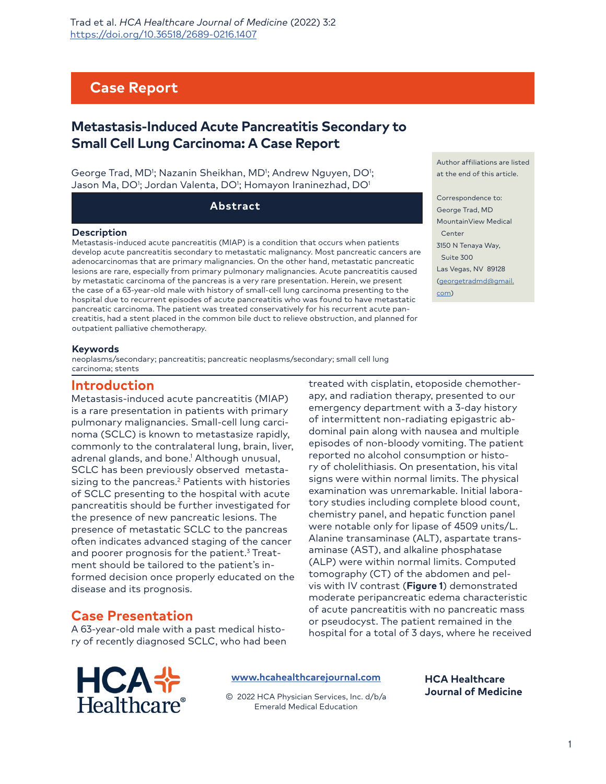# **Case Report**

# **Metastasis-Induced Acute Pancreatitis Secondary to Small Cell Lung Carcinoma: A Case Report**

George Trad, MD<sup>1</sup>; Nazanin Sheikhan, MD<sup>1</sup>; Andrew Nguyen, DO<sup>1</sup>; Jason Ma, DO'; Jordan Valenta, DO'; Homayon Iraninezhad, DO'

**Abstract**

#### **Description**

Metastasis-induced acute pancreatitis (MIAP) is a condition that occurs when patients develop acute pancreatitis secondary to metastatic malignancy. Most pancreatic cancers are adenocarcinomas that are primary malignancies. On the other hand, metastatic pancreatic lesions are rare, especially from primary pulmonary malignancies. Acute pancreatitis caused by metastatic carcinoma of the pancreas is a very rare presentation. Herein, we present the case of a 63-year-old male with history of small-cell lung carcinoma presenting to the hospital due to recurrent episodes of acute pancreatitis who was found to have metastatic pancreatic carcinoma. The patient was treated conservatively for his recurrent acute pancreatitis, had a stent placed in the common bile duct to relieve obstruction, and planned for outpatient palliative chemotherapy.

Author affiliations are listed at the end of this article.

Correspondence to: George Trad, MD MountainView Medical Center 3150 N Tenaya Way, Suite 300 [Las Vegas, NV 89128](mailto:georgetradmd@gmail.com) [\(geo](mailto:georgetradmd@gmail.com)rgetradmd@gmail. com)

#### **Keywords**

neoplasms/secondary; pancreatitis; pancreatic neoplasms/secondary; small cell lung carcinoma; stents

### **Introduction**

Metastasis-induced acute pancreatitis (MIAP) is a rare presentation in patients with primary pulmonary malignancies. Small-cell lung carcinoma (SCLC) is known to metastasize rapidly, commonly to the contralateral lung, brain, liver, adrenal glands, and bone.1 Although unusual, SCLC has been previously observed metastasizing to the pancreas.2 Patients with histories of SCLC presenting to the hospital with acute pancreatitis should be further investigated for the presence of new pancreatic lesions. The presence of metastatic SCLC to the pancreas often indicates advanced staging of the cancer and poorer prognosis for the patient. $^3$  Treatment should be tailored to the patient's informed decision once properly educated on the disease and its prognosis.

#### apy, and radiation therapy, presented to our emergency department with a 3-day history of intermittent non-radiating epigastric abdominal pain along with nausea and multiple episodes of non-bloody vomiting. The patient reported no alcohol consumption or history of cholelithiasis. On presentation, his vital signs were within normal limits. The physical examination was unremarkable. Initial laboratory studies including complete blood count, chemistry panel, and hepatic function panel were notable only for lipase of 4509 units/L. Alanine transaminase (ALT), aspartate transaminase (AST), and alkaline phosphatase (ALP) were within normal limits. Computed tomography (CT) of the abdomen and pelvis with IV contrast (**Figure 1**) demonstrated moderate peripancreatic edema characteristic of acute pancreatitis with no pancreatic mass or pseudocyst. The patient remained in the hospital for a total of 3 days, where he received

treated with cisplatin, etoposide chemother-

## **Case Presentation**

A 63-year-old male with a past medical history of recently diagnosed SCLC, who had been

**HCA+** Healthcare®

**[www.hcahealthcarejournal.com](http://www.hcahealthcarejournal.com)**

© 2022 HCA Physician Services, Inc. d/b/a Emerald Medical Education

**HCA Healthcare Journal of Medicine**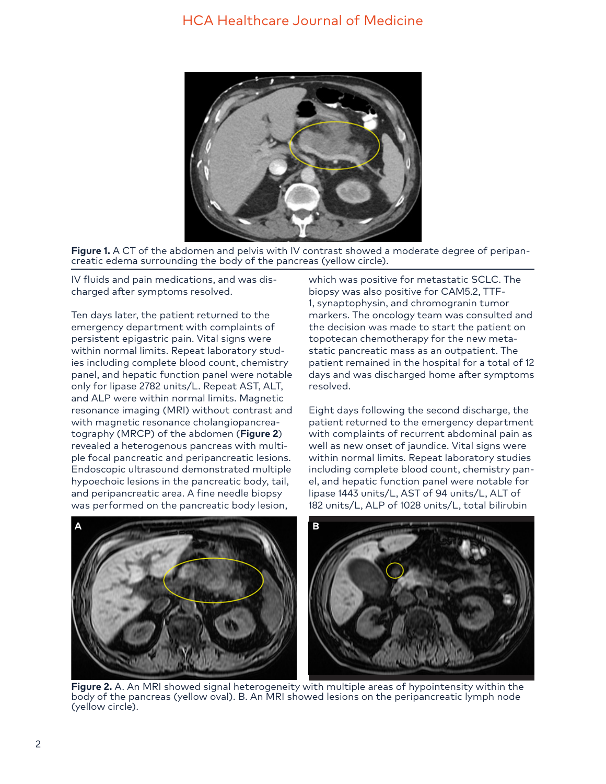



IV fluids and pain medications, and was discharged after symptoms resolved.

Ten days later, the patient returned to the emergency department with complaints of persistent epigastric pain. Vital signs were within normal limits. Repeat laboratory studies including complete blood count, chemistry panel, and hepatic function panel were notable only for lipase 2782 units/L. Repeat AST, ALT, and ALP were within normal limits. Magnetic resonance imaging (MRI) without contrast and with magnetic resonance cholangiopancreatography (MRCP) of the abdomen (**Figure 2**) revealed a heterogenous pancreas with multiple focal pancreatic and peripancreatic lesions. Endoscopic ultrasound demonstrated multiple hypoechoic lesions in the pancreatic body, tail, and peripancreatic area. A fine needle biopsy was performed on the pancreatic body lesion,

which was positive for metastatic SCLC. The biopsy was also positive for CAM5.2, TTF-1, synaptophysin, and chromogranin tumor markers. The oncology team was consulted and the decision was made to start the patient on topotecan chemotherapy for the new metastatic pancreatic mass as an outpatient. The patient remained in the hospital for a total of 12 days and was discharged home after symptoms resolved.

Eight days following the second discharge, the patient returned to the emergency department with complaints of recurrent abdominal pain as well as new onset of jaundice. Vital signs were within normal limits. Repeat laboratory studies including complete blood count, chemistry panel, and hepatic function panel were notable for lipase 1443 units/L, AST of 94 units/L, ALT of 182 units/L, ALP of 1028 units/L, total bilirubin



**Figure 2.** A. An MRI showed signal heterogeneity with multiple areas of hypointensity within the body of the pancreas (yellow oval). B. An MRI showed lesions on the peripancreatic lymph node (yellow circle).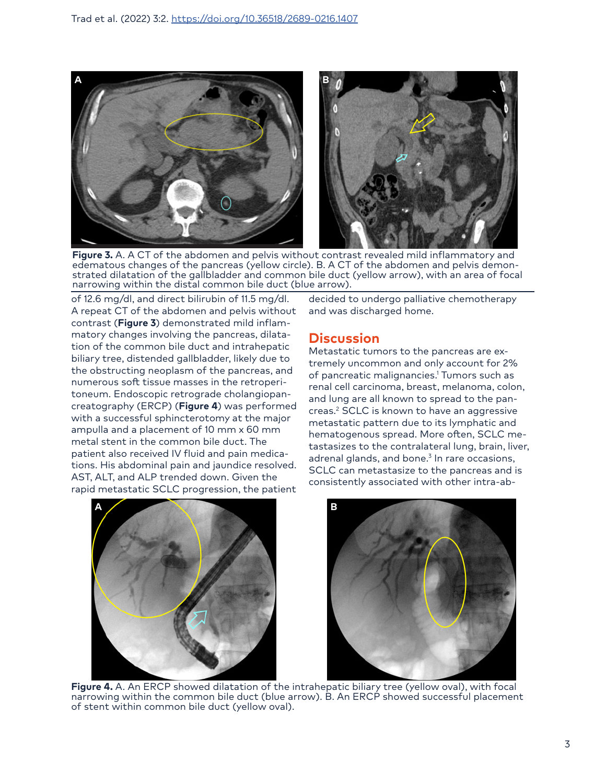

**Figure 3.** A. A CT of the abdomen and pelvis without contrast revealed mild inflammatory and edematous changes of the pancreas (yellow circle). B. A CT of the abdomen and pelvis demonstrated dilatation of the gallbladder and common bile duct (yellow arrow), with an area of focal narrowing within the distal common bile duct (blue arrow).

of 12.6 mg/dl, and direct bilirubin of 11.5 mg/dl. A repeat CT of the abdomen and pelvis without contrast (**Figure 3**) demonstrated mild inflammatory changes involving the pancreas, dilatation of the common bile duct and intrahepatic biliary tree, distended gallbladder, likely due to the obstructing neoplasm of the pancreas, and numerous soft tissue masses in the retroperitoneum. Endoscopic retrograde cholangiopancreatography (ERCP) (**Figure 4**) was performed with a successful sphincterotomy at the major ampulla and a placement of 10 mm x 60 mm metal stent in the common bile duct. The patient also received IV fluid and pain medications. His abdominal pain and jaundice resolved. AST, ALT, and ALP trended down. Given the rapid metastatic SCLC progression, the patient

decided to undergo palliative chemotherapy and was discharged home.

## **Discussion**

Metastatic tumors to the pancreas are extremely uncommon and only account for 2% of pancreatic malignancies.1 Tumors such as renal cell carcinoma, breast, melanoma, colon, and lung are all known to spread to the pancreas.2 SCLC is known to have an aggressive metastatic pattern due to its lymphatic and hematogenous spread. More often, SCLC metastasizes to the contralateral lung, brain, liver, adrenal glands, and bone.<sup>3</sup> In rare occasions, SCLC can metastasize to the pancreas and is consistently associated with other intra-ab-





**Figure 4.** A. An ERCP showed dilatation of the intrahepatic biliary tree (yellow oval), with focal narrowing within the common bile duct (blue arrow). B. An ERCP showed successful placement of stent within common bile duct (yellow oval).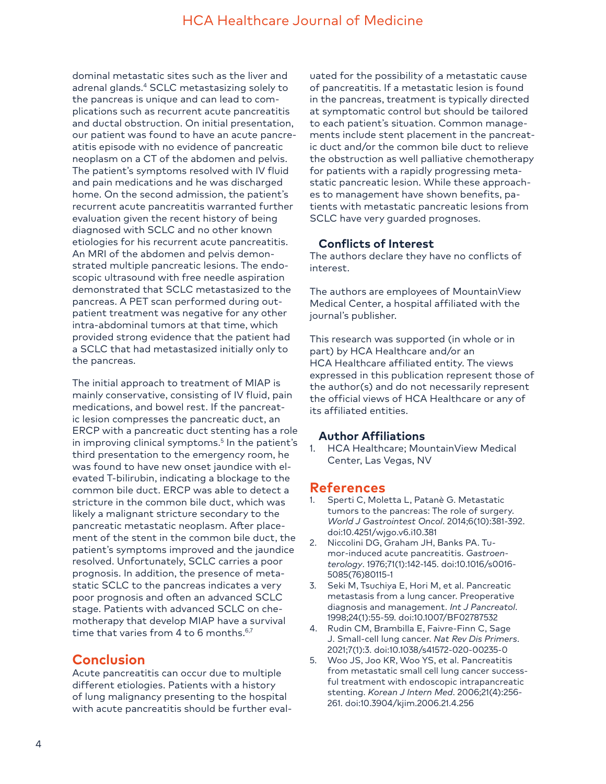## HCA Healthcare Journal of Medicine

dominal metastatic sites such as the liver and adrenal glands.4 SCLC metastasizing solely to the pancreas is unique and can lead to complications such as recurrent acute pancreatitis and ductal obstruction. On initial presentation, our patient was found to have an acute pancreatitis episode with no evidence of pancreatic neoplasm on a CT of the abdomen and pelvis. The patient's symptoms resolved with IV fluid and pain medications and he was discharged home. On the second admission, the patient's recurrent acute pancreatitis warranted further evaluation given the recent history of being diagnosed with SCLC and no other known etiologies for his recurrent acute pancreatitis. An MRI of the abdomen and pelvis demonstrated multiple pancreatic lesions. The endoscopic ultrasound with free needle aspiration demonstrated that SCLC metastasized to the pancreas. A PET scan performed during outpatient treatment was negative for any other intra-abdominal tumors at that time, which provided strong evidence that the patient had a SCLC that had metastasized initially only to the pancreas.

The initial approach to treatment of MIAP is mainly conservative, consisting of IV fluid, pain medications, and bowel rest. If the pancreatic lesion compresses the pancreatic duct, an ERCP with a pancreatic duct stenting has a role in improving clinical symptoms.<sup>5</sup> In the patient's third presentation to the emergency room, he was found to have new onset jaundice with elevated T-bilirubin, indicating a blockage to the common bile duct. ERCP was able to detect a stricture in the common bile duct, which was likely a malignant stricture secondary to the pancreatic metastatic neoplasm. After placement of the stent in the common bile duct, the patient's symptoms improved and the jaundice resolved. Unfortunately, SCLC carries a poor prognosis. In addition, the presence of metastatic SCLC to the pancreas indicates a very poor prognosis and often an advanced SCLC stage. Patients with advanced SCLC on chemotherapy that develop MIAP have a survival time that varies from 4 to 6 months.<sup>6,7</sup>

### **Conclusion**

Acute pancreatitis can occur due to multiple different etiologies. Patients with a history of lung malignancy presenting to the hospital with acute pancreatitis should be further evaluated for the possibility of a metastatic cause of pancreatitis. If a metastatic lesion is found in the pancreas, treatment is typically directed at symptomatic control but should be tailored to each patient's situation. Common managements include stent placement in the pancreatic duct and/or the common bile duct to relieve the obstruction as well palliative chemotherapy for patients with a rapidly progressing metastatic pancreatic lesion. While these approaches to management have shown benefits, patients with metastatic pancreatic lesions from SCLC have very guarded prognoses.

### **Conflicts of Interest**

The authors declare they have no conflicts of interest.

The authors are employees of MountainView Medical Center, a hospital affiliated with the journal's publisher.

This research was supported (in whole or in part) by HCA Healthcare and/or an HCA Healthcare affiliated entity. The views expressed in this publication represent those of the author(s) and do not necessarily represent the official views of HCA Healthcare or any of its affiliated entities.

### **Author Affiliations**

1. HCA Healthcare; MountainView Medical Center, Las Vegas, NV

### **References**

- 1. Sperti C, Moletta L, Patanè G. Metastatic tumors to the pancreas: The role of surgery. *World J Gastrointest Oncol*. 2014;6(10):381-392. doi:10.4251/wjgo.v6.i10.381
- 2. Niccolini DG, Graham JH, Banks PA. Tumor-induced acute pancreatitis. *Gastroenterology*. 1976;71(1):142-145. doi:10.1016/s0016- 5085(76)80115-1
- 3. Seki M, Tsuchiya E, Hori M, et al. Pancreatic metastasis from a lung cancer. Preoperative diagnosis and management. *Int J Pancreatol*. 1998;24(1):55-59. doi:10.1007/BF02787532
- 4. Rudin CM, Brambilla E, Faivre-Finn C, Sage J. Small-cell lung cancer. *Nat Rev Dis Primers*. 2021;7(1):3. doi:10.1038/s41572-020-00235-0
- 5. Woo JS, Joo KR, Woo YS, et al. Pancreatitis from metastatic small cell lung cancer successful treatment with endoscopic intrapancreatic stenting. *Korean J Intern Med*. 2006;21(4):256- 261. doi:10.3904/kjim.2006.21.4.256